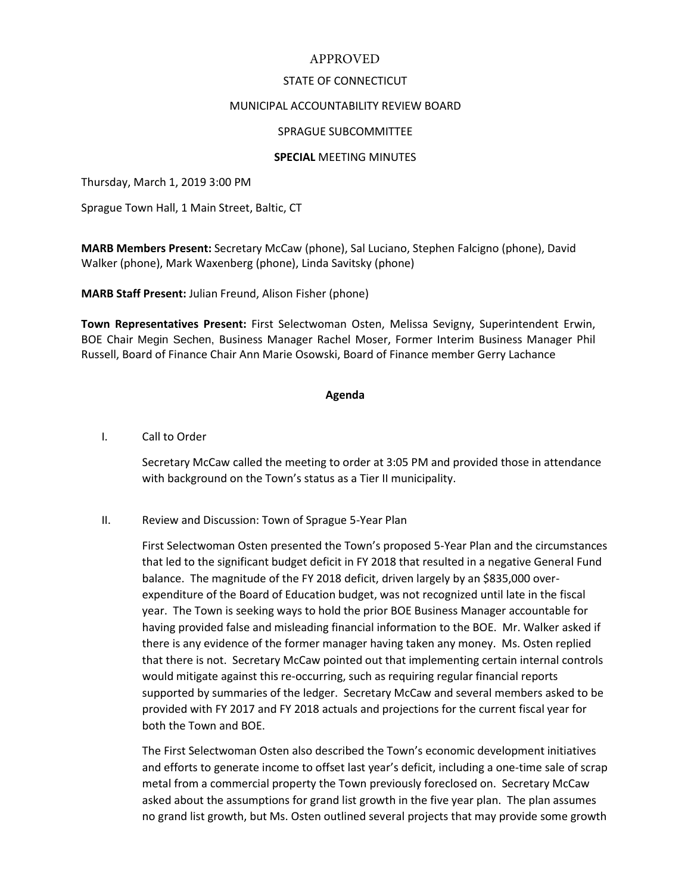# APPROVED

## STATE OF CONNECTICUT

## MUNICIPAL ACCOUNTABILITY REVIEW BOARD

## SPRAGUE SUBCOMMITTEE

## **SPECIAL** MEETING MINUTES

Thursday, March 1, 2019 3:00 PM

Sprague Town Hall, 1 Main Street, Baltic, CT

**MARB Members Present:** Secretary McCaw (phone), Sal Luciano, Stephen Falcigno (phone), David Walker (phone), Mark Waxenberg (phone), Linda Savitsky (phone)

**MARB Staff Present:** Julian Freund, Alison Fisher (phone)

**Town Representatives Present:** First Selectwoman Osten, Melissa Sevigny, Superintendent Erwin, BOE Chair Megin Sechen, Business Manager Rachel Moser, Former Interim Business Manager Phil Russell, Board of Finance Chair Ann Marie Osowski, Board of Finance member Gerry Lachance

#### **Agenda**

#### I. Call to Order

Secretary McCaw called the meeting to order at 3:05 PM and provided those in attendance with background on the Town's status as a Tier II municipality.

II. Review and Discussion: Town of Sprague 5-Year Plan

First Selectwoman Osten presented the Town's proposed 5-Year Plan and the circumstances that led to the significant budget deficit in FY 2018 that resulted in a negative General Fund balance. The magnitude of the FY 2018 deficit, driven largely by an \$835,000 overexpenditure of the Board of Education budget, was not recognized until late in the fiscal year. The Town is seeking ways to hold the prior BOE Business Manager accountable for having provided false and misleading financial information to the BOE. Mr. Walker asked if there is any evidence of the former manager having taken any money. Ms. Osten replied that there is not. Secretary McCaw pointed out that implementing certain internal controls would mitigate against this re-occurring, such as requiring regular financial reports supported by summaries of the ledger. Secretary McCaw and several members asked to be provided with FY 2017 and FY 2018 actuals and projections for the current fiscal year for both the Town and BOE.

The First Selectwoman Osten also described the Town's economic development initiatives and efforts to generate income to offset last year's deficit, including a one-time sale of scrap metal from a commercial property the Town previously foreclosed on. Secretary McCaw asked about the assumptions for grand list growth in the five year plan. The plan assumes no grand list growth, but Ms. Osten outlined several projects that may provide some growth